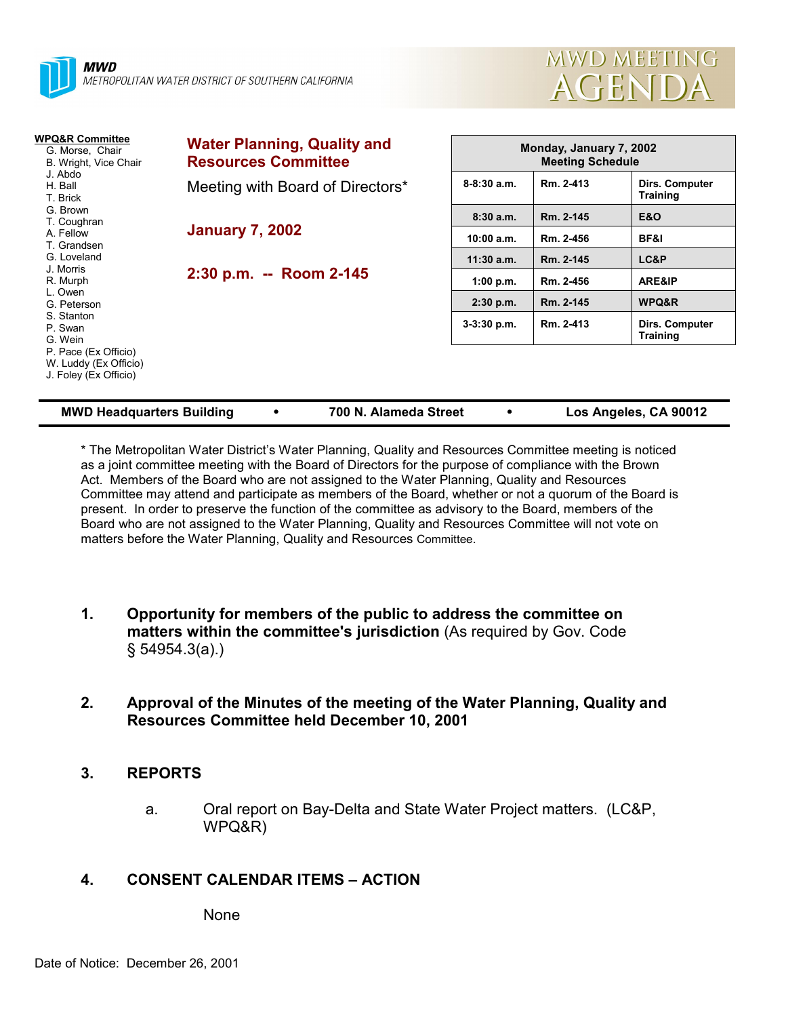



| WPQ&R Committee<br>G. Morse, Chair<br>B. Wright, Vice Chair<br>J. Abdo<br>H. Ball<br>T. Brick<br>G. Brown<br>T. Coughran<br>A. Fellow<br>T. Grandsen<br>G. Loveland<br>J. Morris<br>R. Murph<br>L. Owen<br>G. Peterson<br>S. Stanton<br>P. Swan<br>G. Wein<br>P. Pace (Ex Officio)<br>W. Luddy (Ex Officio)<br>J. Foley (Ex Officio) | <b>Water Planning, Quality and</b><br><b>Resources Committee</b> |               | Monday, January 7, 2002<br><b>Meeting Schedule</b> |                                   |  |  |
|--------------------------------------------------------------------------------------------------------------------------------------------------------------------------------------------------------------------------------------------------------------------------------------------------------------------------------------|------------------------------------------------------------------|---------------|----------------------------------------------------|-----------------------------------|--|--|
|                                                                                                                                                                                                                                                                                                                                      | Meeting with Board of Directors*                                 | $8-8:30$ a.m. | Rm. 2-413                                          | Dirs. Computer<br><b>Training</b> |  |  |
|                                                                                                                                                                                                                                                                                                                                      | <b>January 7, 2002</b><br>2:30 p.m. -- Room 2-145                | 8:30a.m.      | Rm. 2-145                                          | E&O                               |  |  |
|                                                                                                                                                                                                                                                                                                                                      |                                                                  | 10:00 a.m.    | Rm. 2-456                                          | BF&I                              |  |  |
|                                                                                                                                                                                                                                                                                                                                      |                                                                  | $11:30$ a.m.  | Rm. 2-145                                          | LC&P                              |  |  |
|                                                                                                                                                                                                                                                                                                                                      |                                                                  | 1:00 p.m.     | Rm. 2-456                                          | <b>ARE&amp;IP</b>                 |  |  |
|                                                                                                                                                                                                                                                                                                                                      |                                                                  | $2:30$ p.m.   | Rm. 2-145                                          | WPQ&R                             |  |  |
|                                                                                                                                                                                                                                                                                                                                      |                                                                  | $3-3:30$ p.m. | Rm. 2-413                                          | Dirs. Computer<br><b>Training</b> |  |  |
|                                                                                                                                                                                                                                                                                                                                      |                                                                  |               |                                                    |                                   |  |  |

| <b>MWD Headquarters Building</b> |  | 700 N. Alameda Street |  | Los Angeles, CA 90012 |
|----------------------------------|--|-----------------------|--|-----------------------|
|----------------------------------|--|-----------------------|--|-----------------------|

\* The Metropolitan Water Districtís Water Planning, Quality and Resources Committee meeting is noticed as a joint committee meeting with the Board of Directors for the purpose of compliance with the Brown Act. Members of the Board who are not assigned to the Water Planning, Quality and Resources Committee may attend and participate as members of the Board, whether or not a quorum of the Board is present. In order to preserve the function of the committee as advisory to the Board, members of the Board who are not assigned to the Water Planning, Quality and Resources Committee will not vote on matters before the Water Planning, Quality and Resources Committee.

- **1. Opportunity for members of the public to address the committee on matters within the committee's jurisdiction** (As required by Gov. Code ß 54954.3(a).)
- **2. Approval of the Minutes of the meeting of the Water Planning, Quality and Resources Committee held December 10, 2001**

### **3. REPORTS**

a. Oral report on Bay-Delta and State Water Project matters. (LC&P, WPQ&R)

### **4. CONSENT CALENDAR ITEMS – ACTION**

None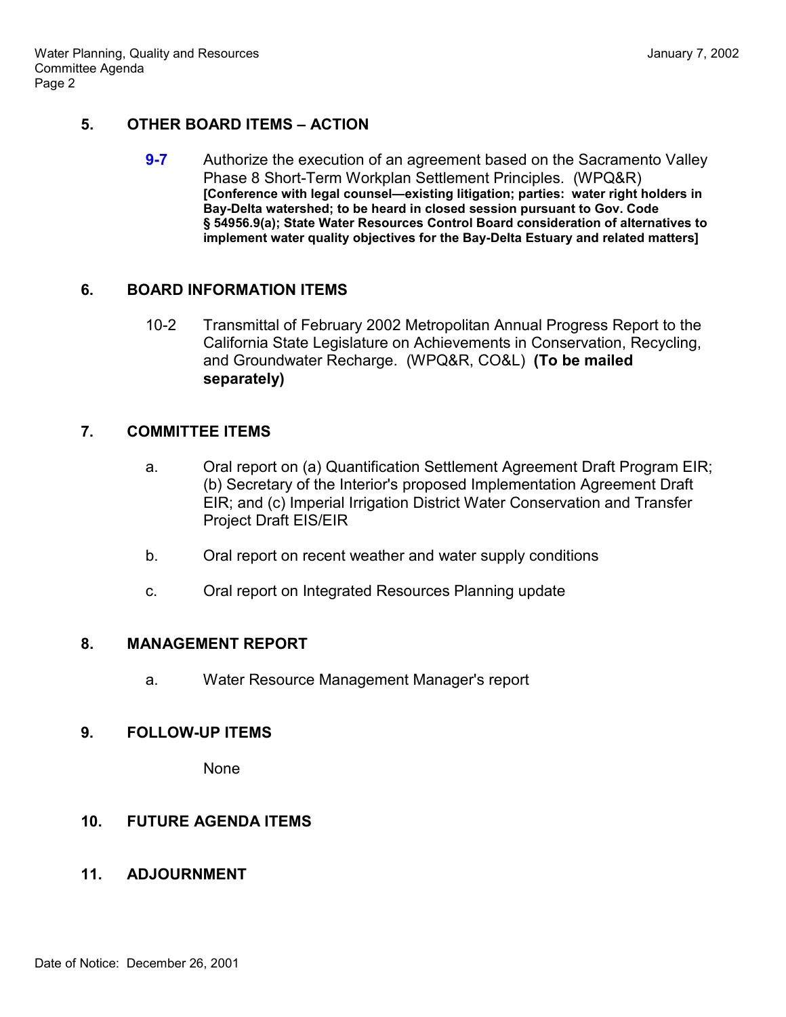## **5. OTHER BOARD ITEMS – ACTION**

**9-7** Authorize the execution of an agreement based on the Sacramento Valley Phase 8 Short-Term Workplan Settlement Principles. (WPQ&R) **[Conference with legal counsel—existing litigation; parties: water right holders in Bay-Delta watershed; to be heard in closed session pursuant to Gov. Code ß 54956.9(a); State Water Resources Control Board consideration of alternatives to implement water quality objectives for the Bay-Delta Estuary and related matters]**

### **6. BOARD INFORMATION ITEMS**

10-2 Transmittal of February 2002 Metropolitan Annual Progress Report to the California State Legislature on Achievements in Conservation, Recycling, and Groundwater Recharge. (WPQ&R, CO&L) **(To be mailed separately)**

### **7. COMMITTEE ITEMS**

- a. Oral report on (a) Quantification Settlement Agreement Draft Program EIR; (b) Secretary of the Interior's proposed Implementation Agreement Draft EIR; and (c) Imperial Irrigation District Water Conservation and Transfer Project Draft EIS/EIR
- b. Oral report on recent weather and water supply conditions
- c. Oral report on Integrated Resources Planning update

#### **8. MANAGEMENT REPORT**

a. Water Resource Management Manager's report

### **9. FOLLOW-UP ITEMS**

None

# **10. FUTURE AGENDA ITEMS**

### **11. ADJOURNMENT**